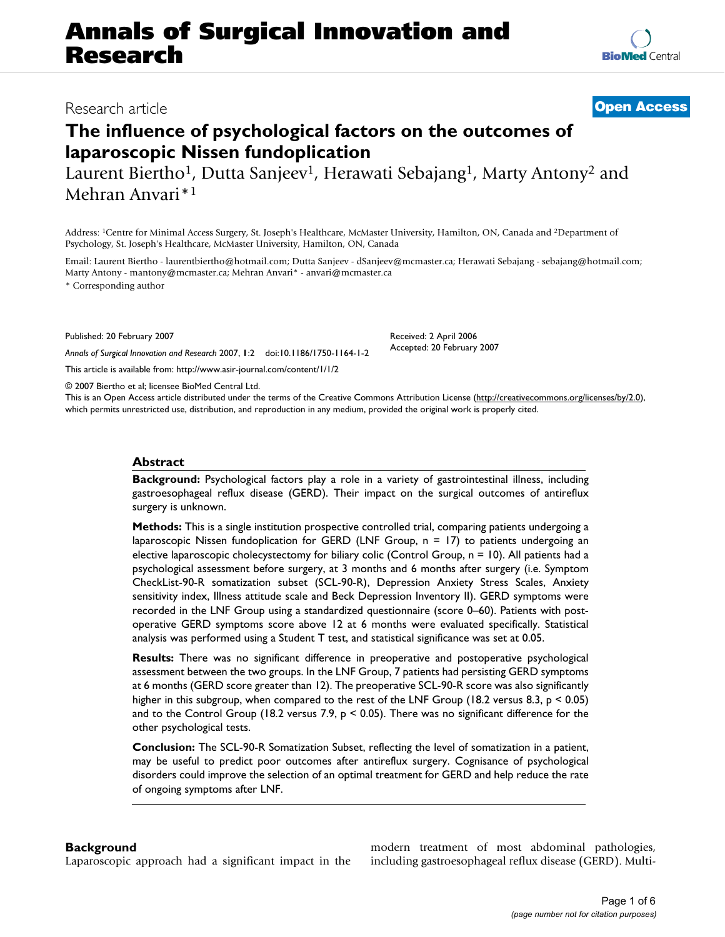# **Annals of Surgical Innovation and Research**

# **The influence of psychological factors on the outcomes of laparoscopic Nissen fundoplication**

Laurent Biertho<sup>1</sup>, Dutta Sanjeev<sup>1</sup>, Herawati Sebajang<sup>1</sup>, Marty Antony<sup>2</sup> and Mehran Anvari\*1

Address: 1Centre for Minimal Access Surgery, St. Joseph's Healthcare, McMaster University, Hamilton, ON, Canada and 2Department of Psychology, St. Joseph's Healthcare, McMaster University, Hamilton, ON, Canada

Email: Laurent Biertho - laurentbiertho@hotmail.com; Dutta Sanjeev - dSanjeev@mcmaster.ca; Herawati Sebajang - sebajang@hotmail.com; Marty Antony - mantony@mcmaster.ca; Mehran Anvari\* - anvari@mcmaster.ca

\* Corresponding author

Published: 20 February 2007

*Annals of Surgical Innovation and Research* 2007, **1**:2 doi:10.1186/1750-1164-1-2

[This article is available from: http://www.asir-journal.com/content/1/1/2](http://www.asir-journal.com/content/1/1/2)

© 2007 Biertho et al; licensee BioMed Central Ltd.

This is an Open Access article distributed under the terms of the Creative Commons Attribution License [\(http://creativecommons.org/licenses/by/2.0\)](http://creativecommons.org/licenses/by/2.0), which permits unrestricted use, distribution, and reproduction in any medium, provided the original work is properly cited.

### **Abstract**

**Background:** Psychological factors play a role in a variety of gastrointestinal illness, including gastroesophageal reflux disease (GERD). Their impact on the surgical outcomes of antireflux surgery is unknown.

**Methods:** This is a single institution prospective controlled trial, comparing patients undergoing a laparoscopic Nissen fundoplication for GERD (LNF Group, n = 17) to patients undergoing an elective laparoscopic cholecystectomy for biliary colic (Control Group,  $n = 10$ ). All patients had a psychological assessment before surgery, at 3 months and 6 months after surgery (i.e. Symptom CheckList-90-R somatization subset (SCL-90-R), Depression Anxiety Stress Scales, Anxiety sensitivity index, Illness attitude scale and Beck Depression Inventory II). GERD symptoms were recorded in the LNF Group using a standardized questionnaire (score 0–60). Patients with postoperative GERD symptoms score above 12 at 6 months were evaluated specifically. Statistical analysis was performed using a Student T test, and statistical significance was set at 0.05.

**Results:** There was no significant difference in preoperative and postoperative psychological assessment between the two groups. In the LNF Group, 7 patients had persisting GERD symptoms at 6 months (GERD score greater than 12). The preoperative SCL-90-R score was also significantly higher in this subgroup, when compared to the rest of the LNF Group (18.2 versus 8.3, p < 0.05) and to the Control Group (18.2 versus 7.9,  $p < 0.05$ ). There was no significant difference for the other psychological tests.

**Conclusion:** The SCL-90-R Somatization Subset, reflecting the level of somatization in a patient, may be useful to predict poor outcomes after antireflux surgery. Cognisance of psychological disorders could improve the selection of an optimal treatment for GERD and help reduce the rate of ongoing symptoms after LNF.

## **Background**

Laparoscopic approach had a significant impact in the

modern treatment of most abdominal pathologies, including gastroesophageal reflux disease (GERD). Multi-



# Research article **[Open Access](http://www.biomedcentral.com/info/about/charter/)**

Received: 2 April 2006 Accepted: 20 February 2007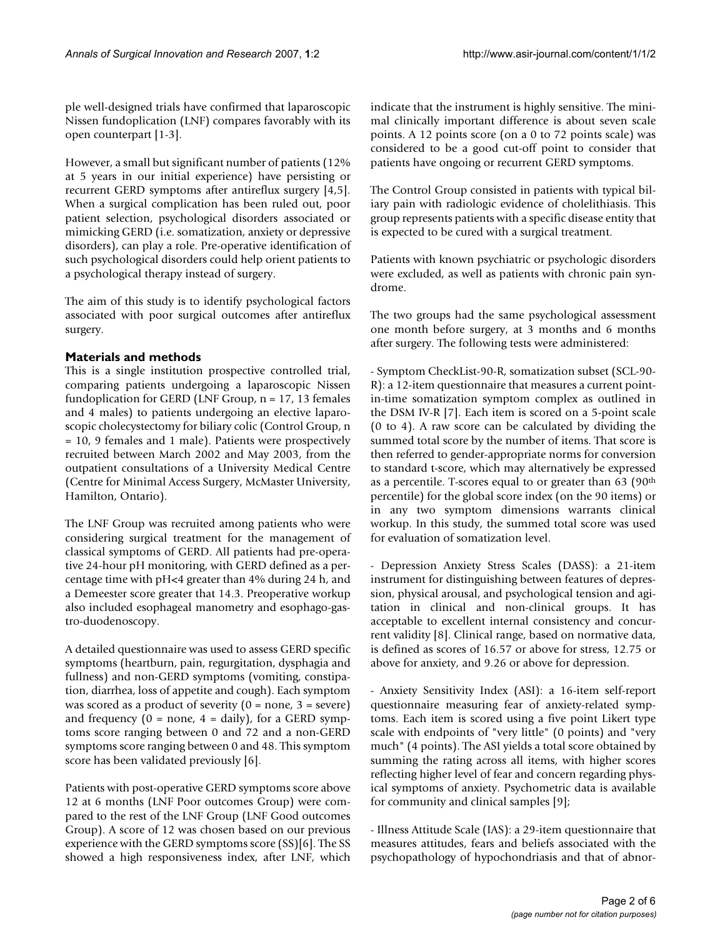ple well-designed trials have confirmed that laparoscopic Nissen fundoplication (LNF) compares favorably with its open counterpart [1-3].

However, a small but significant number of patients (12% at 5 years in our initial experience) have persisting or recurrent GERD symptoms after antireflux surgery [4,5]. When a surgical complication has been ruled out, poor patient selection, psychological disorders associated or mimicking GERD (i.e. somatization, anxiety or depressive disorders), can play a role. Pre-operative identification of such psychological disorders could help orient patients to a psychological therapy instead of surgery.

The aim of this study is to identify psychological factors associated with poor surgical outcomes after antireflux surgery.

## **Materials and methods**

This is a single institution prospective controlled trial, comparing patients undergoing a laparoscopic Nissen fundoplication for GERD (LNF Group,  $n = 17$ , 13 females and 4 males) to patients undergoing an elective laparoscopic cholecystectomy for biliary colic (Control Group, n = 10, 9 females and 1 male). Patients were prospectively recruited between March 2002 and May 2003, from the outpatient consultations of a University Medical Centre (Centre for Minimal Access Surgery, McMaster University, Hamilton, Ontario).

The LNF Group was recruited among patients who were considering surgical treatment for the management of classical symptoms of GERD. All patients had pre-operative 24-hour pH monitoring, with GERD defined as a percentage time with pH<4 greater than 4% during 24 h, and a Demeester score greater that 14.3. Preoperative workup also included esophageal manometry and esophago-gastro-duodenoscopy.

A detailed questionnaire was used to assess GERD specific symptoms (heartburn, pain, regurgitation, dysphagia and fullness) and non-GERD symptoms (vomiting, constipation, diarrhea, loss of appetite and cough). Each symptom was scored as a product of severity  $(0 = none, 3 = severe)$ and frequency ( $0 =$  none,  $4 =$  daily), for a GERD symptoms score ranging between 0 and 72 and a non-GERD symptoms score ranging between 0 and 48. This symptom score has been validated previously [6].

Patients with post-operative GERD symptoms score above 12 at 6 months (LNF Poor outcomes Group) were compared to the rest of the LNF Group (LNF Good outcomes Group). A score of 12 was chosen based on our previous experience with the GERD symptoms score (SS)[6]. The SS showed a high responsiveness index, after LNF, which indicate that the instrument is highly sensitive. The minimal clinically important difference is about seven scale points. A 12 points score (on a 0 to 72 points scale) was considered to be a good cut-off point to consider that patients have ongoing or recurrent GERD symptoms.

The Control Group consisted in patients with typical biliary pain with radiologic evidence of cholelithiasis. This group represents patients with a specific disease entity that is expected to be cured with a surgical treatment.

Patients with known psychiatric or psychologic disorders were excluded, as well as patients with chronic pain syndrome.

The two groups had the same psychological assessment one month before surgery, at 3 months and 6 months after surgery. The following tests were administered:

- Symptom CheckList-90-R, somatization subset (SCL-90- R): a 12-item questionnaire that measures a current pointin-time somatization symptom complex as outlined in the DSM IV-R [7]. Each item is scored on a 5-point scale (0 to 4). A raw score can be calculated by dividing the summed total score by the number of items. That score is then referred to gender-appropriate norms for conversion to standard t-score, which may alternatively be expressed as a percentile. T-scores equal to or greater than 63 (90th percentile) for the global score index (on the 90 items) or in any two symptom dimensions warrants clinical workup. In this study, the summed total score was used for evaluation of somatization level.

- Depression Anxiety Stress Scales (DASS): a 21-item instrument for distinguishing between features of depression, physical arousal, and psychological tension and agitation in clinical and non-clinical groups. It has acceptable to excellent internal consistency and concurrent validity [8]. Clinical range, based on normative data, is defined as scores of 16.57 or above for stress, 12.75 or above for anxiety, and 9.26 or above for depression.

- Anxiety Sensitivity Index (ASI): a 16-item self-report questionnaire measuring fear of anxiety-related symptoms. Each item is scored using a five point Likert type scale with endpoints of "very little" (0 points) and "very much" (4 points). The ASI yields a total score obtained by summing the rating across all items, with higher scores reflecting higher level of fear and concern regarding physical symptoms of anxiety. Psychometric data is available for community and clinical samples [9];

- Illness Attitude Scale (IAS): a 29-item questionnaire that measures attitudes, fears and beliefs associated with the psychopathology of hypochondriasis and that of abnor-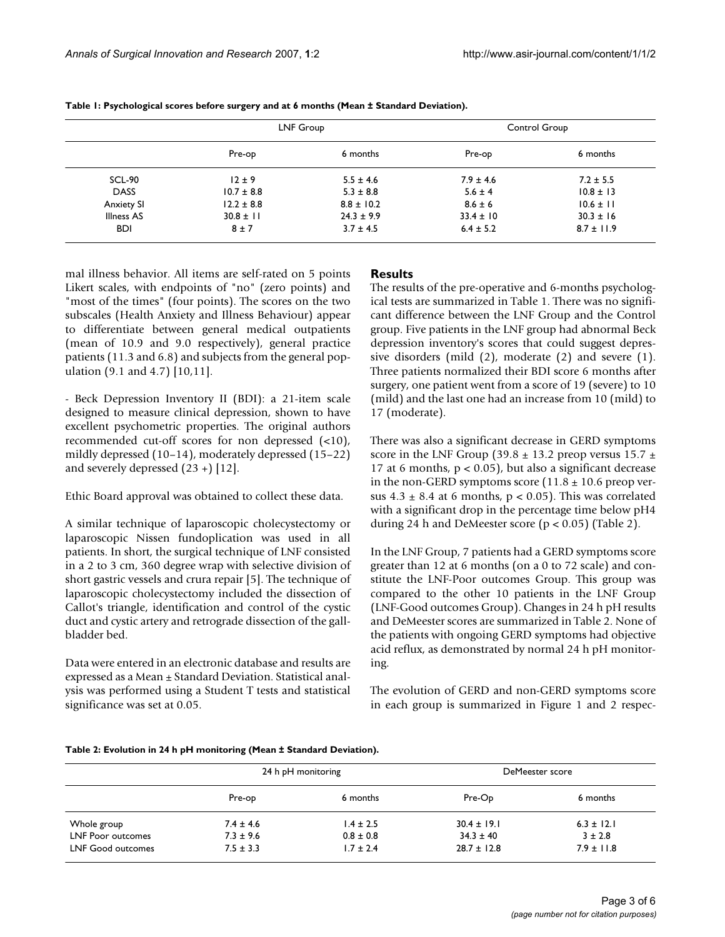|                   | LNF Group      |                | Control Group |                |
|-------------------|----------------|----------------|---------------|----------------|
|                   | Pre-op         | 6 months       | Pre-op        | 6 months       |
| SCL-90            | $12 \pm 9$     | $5.5 \pm 4.6$  | $7.9 \pm 4.6$ | $7.2 \pm 5.5$  |
| <b>DASS</b>       | $10.7 \pm 8.8$ | $5.3 \pm 8.8$  | $5.6 \pm 4$   | $10.8 \pm 13$  |
| <b>Anxiety SI</b> | $12.2 \pm 8.8$ | $8.8 \pm 10.2$ | $8.6 \pm 6$   | $10.6 \pm 11$  |
| <b>Illness AS</b> | $30.8 \pm 11$  | $24.3 \pm 9.9$ | $33.4 \pm 10$ | $30.3 \pm 16$  |
| <b>BDI</b>        | $8 \pm 7$      | $3.7 \pm 4.5$  | $6.4 \pm 5.2$ | $8.7 \pm 11.9$ |

**Table 1: Psychological scores before surgery and at 6 months (Mean ± Standard Deviation).**

mal illness behavior. All items are self-rated on 5 points Likert scales, with endpoints of "no" (zero points) and "most of the times" (four points). The scores on the two subscales (Health Anxiety and Illness Behaviour) appear to differentiate between general medical outpatients (mean of 10.9 and 9.0 respectively), general practice patients (11.3 and 6.8) and subjects from the general population (9.1 and 4.7) [10,11].

- Beck Depression Inventory II (BDI): a 21-item scale designed to measure clinical depression, shown to have excellent psychometric properties. The original authors recommended cut-off scores for non depressed (<10), mildly depressed (10–14), moderately depressed (15–22) and severely depressed  $(23 + 1)$  [12].

Ethic Board approval was obtained to collect these data.

A similar technique of laparoscopic cholecystectomy or laparoscopic Nissen fundoplication was used in all patients. In short, the surgical technique of LNF consisted in a 2 to 3 cm, 360 degree wrap with selective division of short gastric vessels and crura repair [5]. The technique of laparoscopic cholecystectomy included the dissection of Callot's triangle, identification and control of the cystic duct and cystic artery and retrograde dissection of the gallbladder bed.

Data were entered in an electronic database and results are expressed as a Mean ± Standard Deviation. Statistical analysis was performed using a Student T tests and statistical significance was set at 0.05.

## **Results**

The results of the pre-operative and 6-months psychological tests are summarized in Table 1. There was no significant difference between the LNF Group and the Control group. Five patients in the LNF group had abnormal Beck depression inventory's scores that could suggest depressive disorders (mild (2), moderate (2) and severe (1). Three patients normalized their BDI score 6 months after surgery, one patient went from a score of 19 (severe) to 10 (mild) and the last one had an increase from 10 (mild) to 17 (moderate).

There was also a significant decrease in GERD symptoms score in the LNF Group (39.8  $\pm$  13.2 preop versus 15.7  $\pm$ 17 at 6 months,  $p < 0.05$ ), but also a significant decrease in the non-GERD symptoms score  $(11.8 \pm 10.6 \text{ preop})$  versus  $4.3 \pm 8.4$  at 6 months,  $p < 0.05$ ). This was correlated with a significant drop in the percentage time below pH4 during 24 h and DeMeester score ( $p < 0.05$ ) (Table 2).

In the LNF Group, 7 patients had a GERD symptoms score greater than 12 at 6 months (on a 0 to 72 scale) and constitute the LNF-Poor outcomes Group. This group was compared to the other 10 patients in the LNF Group (LNF-Good outcomes Group). Changes in 24 h pH results and DeMeester scores are summarized in Table 2. None of the patients with ongoing GERD symptoms had objective acid reflux, as demonstrated by normal 24 h pH monitoring.

The evolution of GERD and non-GERD symptoms score in each group is summarized in Figure 1 and 2 respec-

|  |  | Table 2: Evolution in 24 h pH monitoring (Mean ± Standard Deviation). |
|--|--|-----------------------------------------------------------------------|
|--|--|-----------------------------------------------------------------------|

|                          | 24 h pH monitoring |               | DeMeester score |                |
|--------------------------|--------------------|---------------|-----------------|----------------|
|                          | Pre-op             | 6 months      | Pre-Op          | 6 months       |
| Whole group              | $7.4 \pm 4.6$      | $1.4 \pm 2.5$ | $30.4 \pm 19.1$ | $6.3 \pm 12.1$ |
| <b>LNF Poor outcomes</b> | $7.3 \pm 9.6$      | $0.8 \pm 0.8$ | $34.3 \pm 40$   | $3 \pm 2.8$    |
| <b>LNF Good outcomes</b> | $7.5 \pm 3.3$      | $1.7 \pm 2.4$ | $28.7 \pm 12.8$ | $7.9 \pm 11.8$ |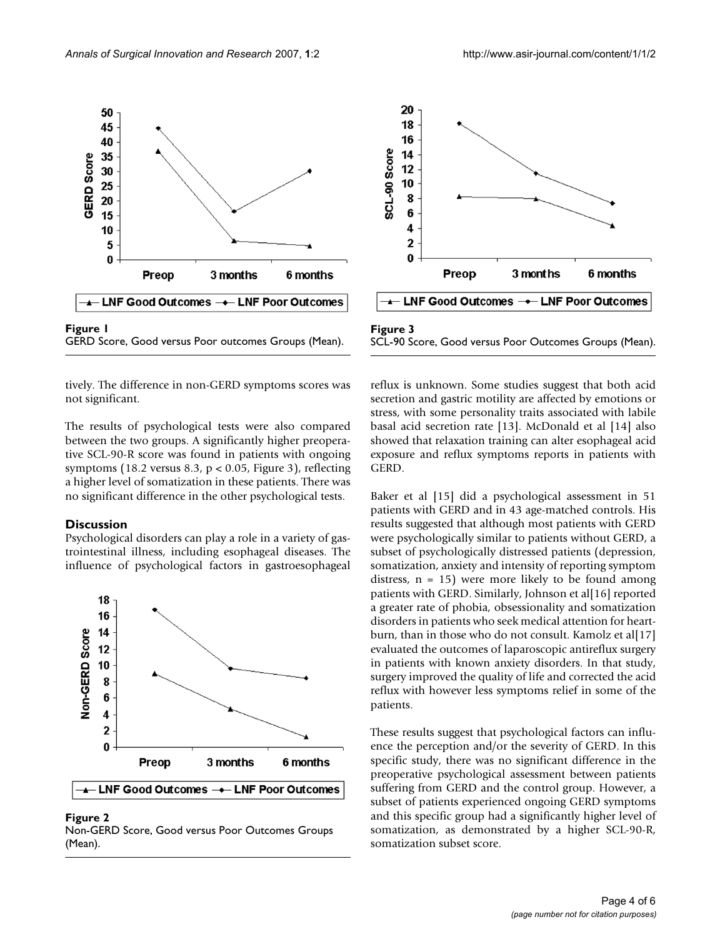

GERD Score, Good versus Poor outcomes Groups (Mean).

tively. The difference in non-GERD symptoms scores was not significant.

The results of psychological tests were also compared between the two groups. A significantly higher preoperative SCL-90-R score was found in patients with ongoing symptoms (18.2 versus 8.3,  $p < 0.05$ , Figure 3), reflecting a higher level of somatization in these patients. There was no significant difference in the other psychological tests.

#### **Discussion**

Psychological disorders can play a role in a variety of gastrointestinal illness, including esophageal diseases. The influence of psychological factors in gastroesophageal



Figure 2 Non-GERD Score, Good versus Poor Outcomes Groups (Mean).



SCL-90 Score, Good versus Poor Outcomes Groups (Mean).

reflux is unknown. Some studies suggest that both acid secretion and gastric motility are affected by emotions or stress, with some personality traits associated with labile basal acid secretion rate [13]. McDonald et al [14] also showed that relaxation training can alter esophageal acid exposure and reflux symptoms reports in patients with GERD.

Baker et al [15] did a psychological assessment in 51 patients with GERD and in 43 age-matched controls. His results suggested that although most patients with GERD were psychologically similar to patients without GERD, a subset of psychologically distressed patients (depression, somatization, anxiety and intensity of reporting symptom distress,  $n = 15$ ) were more likely to be found among patients with GERD. Similarly, Johnson et al[16] reported a greater rate of phobia, obsessionality and somatization disorders in patients who seek medical attention for heartburn, than in those who do not consult. Kamolz et al[17] evaluated the outcomes of laparoscopic antireflux surgery in patients with known anxiety disorders. In that study, surgery improved the quality of life and corrected the acid reflux with however less symptoms relief in some of the patients.

These results suggest that psychological factors can influence the perception and/or the severity of GERD. In this specific study, there was no significant difference in the preoperative psychological assessment between patients suffering from GERD and the control group. However, a subset of patients experienced ongoing GERD symptoms and this specific group had a significantly higher level of somatization, as demonstrated by a higher SCL-90-R, somatization subset score.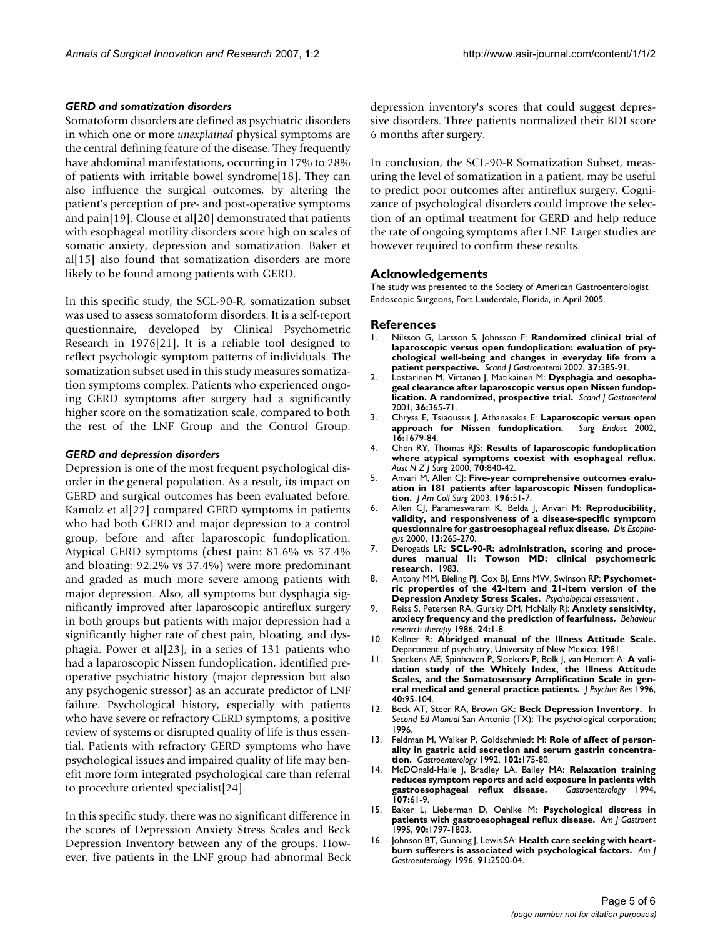#### *GERD and somatization disorders*

Somatoform disorders are defined as psychiatric disorders in which one or more *unexplained* physical symptoms are the central defining feature of the disease. They frequently have abdominal manifestations, occurring in 17% to 28% of patients with irritable bowel syndrome[18]. They can also influence the surgical outcomes, by altering the patient's perception of pre- and post-operative symptoms and pain[19]. Clouse et al[20] demonstrated that patients with esophageal motility disorders score high on scales of somatic anxiety, depression and somatization. Baker et al[15] also found that somatization disorders are more likely to be found among patients with GERD.

In this specific study, the SCL-90-R, somatization subset was used to assess somatoform disorders. It is a self-report questionnaire, developed by Clinical Psychometric Research in 1976[21]. It is a reliable tool designed to reflect psychologic symptom patterns of individuals. The somatization subset used in this study measures somatization symptoms complex. Patients who experienced ongoing GERD symptoms after surgery had a significantly higher score on the somatization scale, compared to both the rest of the LNF Group and the Control Group.

#### *GERD and depression disorders*

Depression is one of the most frequent psychological disorder in the general population. As a result, its impact on GERD and surgical outcomes has been evaluated before. Kamolz et al[22] compared GERD symptoms in patients who had both GERD and major depression to a control group, before and after laparoscopic fundoplication. Atypical GERD symptoms (chest pain: 81.6% vs 37.4% and bloating: 92.2% vs 37.4%) were more predominant and graded as much more severe among patients with major depression. Also, all symptoms but dysphagia significantly improved after laparoscopic antireflux surgery in both groups but patients with major depression had a significantly higher rate of chest pain, bloating, and dysphagia. Power et al[23], in a series of 131 patients who had a laparoscopic Nissen fundoplication, identified preoperative psychiatric history (major depression but also any psychogenic stressor) as an accurate predictor of LNF failure. Psychological history, especially with patients who have severe or refractory GERD symptoms, a positive review of systems or disrupted quality of life is thus essential. Patients with refractory GERD symptoms who have psychological issues and impaired quality of life may benefit more form integrated psychological care than referral to procedure oriented specialist[24].

In this specific study, there was no significant difference in the scores of Depression Anxiety Stress Scales and Beck Depression Inventory between any of the groups. However, five patients in the LNF group had abnormal Beck depression inventory's scores that could suggest depressive disorders. Three patients normalized their BDI score 6 months after surgery.

In conclusion, the SCL-90-R Somatization Subset, measuring the level of somatization in a patient, may be useful to predict poor outcomes after antireflux surgery. Cognizance of psychological disorders could improve the selection of an optimal treatment for GERD and help reduce the rate of ongoing symptoms after LNF. Larger studies are however required to confirm these results.

#### **Acknowledgements**

The study was presented to the Society of American Gastroenterologist Endoscopic Surgeons, Fort Lauderdale, Florida, in April 2005.

#### **References**

- 1. Nilsson G, Larsson S, Johnsson F: **[Randomized clinical trial of](http://www.ncbi.nlm.nih.gov/entrez/query.fcgi?cmd=Retrieve&db=PubMed&dopt=Abstract&list_uids=11989827) [laparoscopic versus open fundoplication: evaluation of psy](http://www.ncbi.nlm.nih.gov/entrez/query.fcgi?cmd=Retrieve&db=PubMed&dopt=Abstract&list_uids=11989827)chological well-being and changes in everyday life from a [patient perspective.](http://www.ncbi.nlm.nih.gov/entrez/query.fcgi?cmd=Retrieve&db=PubMed&dopt=Abstract&list_uids=11989827)** *Scand J Gastroenterol* 2002, **37:**385-91.
- Lostarinen M, Virtanen J, Matikainen M: Dysphagia and oesopha**geal clearance after laparoscopic versus open Nissen fundoplication. A randomized, prospective trial.** *Scand J Gastroenterol* 2001, **36:**365-71.
- 3. Chryss E, Tsiaoussis J, Athanasakis E: **[Laparoscopic versus open](http://www.ncbi.nlm.nih.gov/entrez/query.fcgi?cmd=Retrieve&db=PubMed&dopt=Abstract&list_uids=11984689)** [approach for Nissen fundoplication.](http://www.ncbi.nlm.nih.gov/entrez/query.fcgi?cmd=Retrieve&db=PubMed&dopt=Abstract&list_uids=11984689) **16:**1679-84.
- 4. Chen RY, Thomas RJS: **[Results of laparoscopic fundoplication](http://www.ncbi.nlm.nih.gov/entrez/query.fcgi?cmd=Retrieve&db=PubMed&dopt=Abstract&list_uids=11167570) [where atypical symptoms coexist with esophageal reflux.](http://www.ncbi.nlm.nih.gov/entrez/query.fcgi?cmd=Retrieve&db=PubMed&dopt=Abstract&list_uids=11167570)** *Aust N Z J Surg* 2000, **70:**840-42.
- 5. Anvari M, Allen CJ: **[Five-year comprehensive outcomes evalu](http://www.ncbi.nlm.nih.gov/entrez/query.fcgi?cmd=Retrieve&db=PubMed&dopt=Abstract&list_uids=12517549)[ation in 181 patients after laparoscopic Nissen fundoplica](http://www.ncbi.nlm.nih.gov/entrez/query.fcgi?cmd=Retrieve&db=PubMed&dopt=Abstract&list_uids=12517549)[tion.](http://www.ncbi.nlm.nih.gov/entrez/query.fcgi?cmd=Retrieve&db=PubMed&dopt=Abstract&list_uids=12517549)** *J Am Coll Surg* 2003, **196:**51-7.
- 6. Allen CJ, Parameswaram K, Belda J, Anvari M: **[Reproducibility,](http://www.ncbi.nlm.nih.gov/entrez/query.fcgi?cmd=Retrieve&db=PubMed&dopt=Abstract&list_uids=11284971) [validity, and responsiveness of a disease-specific symptom](http://www.ncbi.nlm.nih.gov/entrez/query.fcgi?cmd=Retrieve&db=PubMed&dopt=Abstract&list_uids=11284971) [questionnaire for gastroesophageal reflux disease.](http://www.ncbi.nlm.nih.gov/entrez/query.fcgi?cmd=Retrieve&db=PubMed&dopt=Abstract&list_uids=11284971)** *Dis Esophagus* 2000, **13:**265-270.
- 7. Derogatis LR: **SCL-90-R: administration, scoring and procedures manual II: Towson MD: clinical psychometric research.** 1983.
- 8. Antony MM, Bieling PJ, Cox BJ, Enns MW, Swinson RP: **Psychometric properties of the 42-item and 21-item version of the Depression Anxiety Stress Scales.** *Psychological assessment* .
- 9. Reiss S, Petersen RA, Gursky DM, McNally RJ: **Anxiety sensitivity, anxiety frequency and the prediction of fearfulness.** *Behaviour research therapy* 1986, **24:**1-8.
- 10. Kellner R: **Abridged manual of the Illness Attitude Scale.** Department of psychiatry, University of New Mexico; 1981.
- 11. Speckens AE, Spinhoven P, Sloekers P, Bolk J, van Hemert A: **A validation study of the Whitely Index, the Illness Attitude Scales, and the Somatosensory Amplification Scale in general medical and general practice patients.** *J Psychos Res* 1996, **40:**95-104.
- 12. Beck AT, Steer RA, Brown GK: **Beck Depression Inventory.** In *Second Ed Manual* San Antonio (TX): The psychological corporation; 1996.
- 13. Feldman M, Walker P, Goldschmiedt M: **[Role of affect of person](http://www.ncbi.nlm.nih.gov/entrez/query.fcgi?cmd=Retrieve&db=PubMed&dopt=Abstract&list_uids=1727751)[ality in gastric acid secretion and serum gastrin concentra](http://www.ncbi.nlm.nih.gov/entrez/query.fcgi?cmd=Retrieve&db=PubMed&dopt=Abstract&list_uids=1727751)[tion.](http://www.ncbi.nlm.nih.gov/entrez/query.fcgi?cmd=Retrieve&db=PubMed&dopt=Abstract&list_uids=1727751)** *Gastroenterology* 1992, **102:**175-80.
- 14. McDOnald-Haile J, Bradley LA, Bailey MA: **[Relaxation training](http://www.ncbi.nlm.nih.gov/entrez/query.fcgi?cmd=Retrieve&db=PubMed&dopt=Abstract&list_uids=8020690) [reduces symptom reports and acid exposure in patients with](http://www.ncbi.nlm.nih.gov/entrez/query.fcgi?cmd=Retrieve&db=PubMed&dopt=Abstract&list_uids=8020690) [gastroesophageal reflux disease.](http://www.ncbi.nlm.nih.gov/entrez/query.fcgi?cmd=Retrieve&db=PubMed&dopt=Abstract&list_uids=8020690)** *Gastroenterology* 1994, **107:**61-9.
- 15. Baker L, Lieberman D, Oehlke M: **[Psychological distress in](http://www.ncbi.nlm.nih.gov/entrez/query.fcgi?cmd=Retrieve&db=PubMed&dopt=Abstract&list_uids=7572897) [patients with gastroesophageal reflux disease.](http://www.ncbi.nlm.nih.gov/entrez/query.fcgi?cmd=Retrieve&db=PubMed&dopt=Abstract&list_uids=7572897)** *Am J Gastroent* 1995, **90:**1797-1803.
- 16. Johnson BT, Gunning J, Lewis SA: Health care seeking with heart**burn sufferers is associated with psychological factors.** *Am J Gastroenterology* 1996, **91:**2500-04.